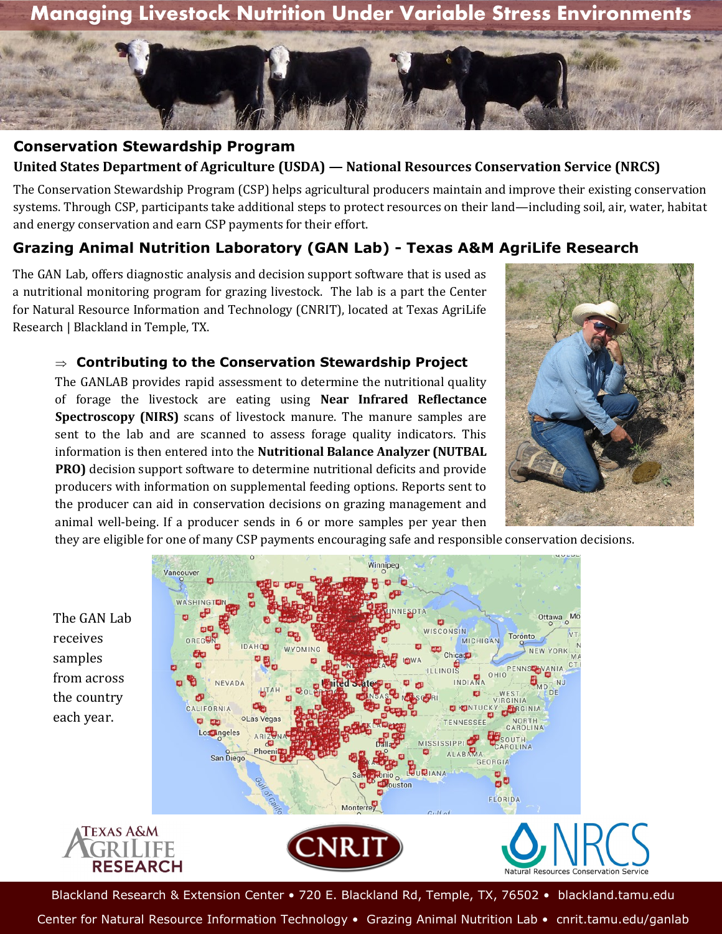



## **Conservation Stewardship Program United States Department of Agriculture (USDA) — National Resources Conservation Service (NRCS)**

The Conservation Stewardship Program (CSP) helps agricultural producers maintain and improve their existing conservation systems. Through CSP, participants take additional steps to protect resources on their land—including soil, air, water, habitat and energy conservation and earn CSP payments for their effort.

## **Grazing Animal Nutrition Laboratory (GAN Lab) - Texas A&M AgriLife Research**

The GAN Lab, offers diagnostic analysis and decision support software that is used as a nutritional monitoring program for grazing livestock. The lab is a part the Center for Natural Resource Information and Technology (CNRIT), located at Texas AgriLife Research | Blackland in Temple, TX.

## **Contributing to the Conservation Stewardship Project**

The GANLAB provides rapid assessment to determine the nutritional quality of forage the livestock are eating using **Near Infrared Reflectance Spectroscopy (NIRS)** scans of livestock manure. The manure samples are sent to the lab and are scanned to assess forage quality indicators. This information is then entered into the **Nutritional Balance Analyzer (NUTBAL PRO)** decision support software to determine nutritional deficits and provide producers with information on supplemental feeding options. Reports sent to the producer can aid in conservation decisions on grazing management and animal well-being. If a producer sends in 6 or more samples per year then



Winnipeg  $\bullet$   $\bullet$ WASHINGTH The GAN Lab WISCONSIN Toronto **MICHIGAN** Chicada ILLINOIS PENNSCHVANIA OHIO INDIANA NFVADA ۰ CALIFORNIA **DIENTUCK** RGINIA  $\overline{O}$  $0<sub>0</sub>$ Losangeles  $011TL$ **MISSISSIPPI ABAMA** San Diego GEORGIA ăØ rouston FLORIDA Monterrey **TEXAS A&M** CNRIT **RESEARCH** 

they are eligible for one of many CSP payments encouraging safe and responsible conservation decisions.

receives samples from across the country each year.



Blackland Research & Extension Center • 720 E. Blackland Rd, Temple, TX, 76502 • blackland.tamu.edu

Center for Natural Resource Information Technology • Grazing Animal Nutrition Lab • cnrit.tamu.edu/ganlab